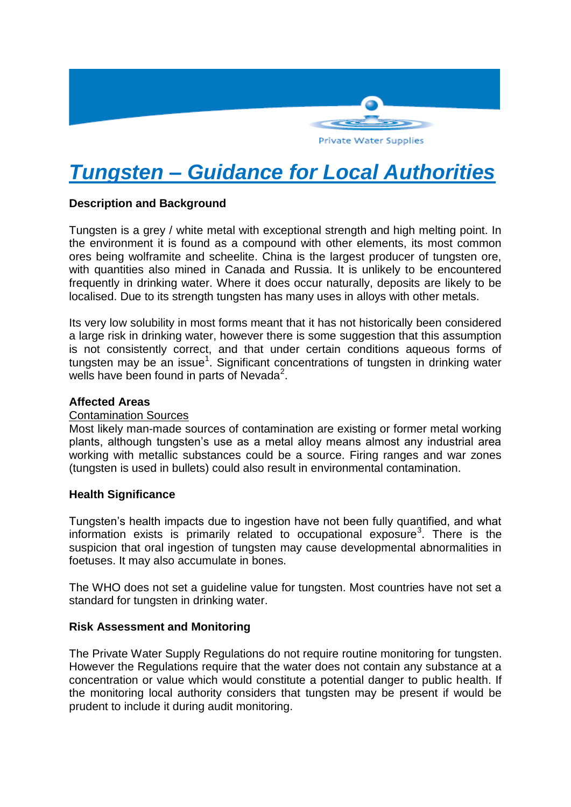

# *Tungsten – Guidance for Local Authorities*

# **Description and Background**

Tungsten is a grey / white metal with exceptional strength and high melting point. In the environment it is found as a compound with other elements, its most common ores being wolframite and scheelite. China is the largest producer of tungsten ore, with quantities also mined in Canada and Russia. It is unlikely to be encountered frequently in drinking water. Where it does occur naturally, deposits are likely to be localised. Due to its strength tungsten has many uses in alloys with other metals.

Its very low solubility in most forms meant that it has not historically been considered a large risk in drinking water, however there is some suggestion that this assumption is not consistently correct, and that under certain conditions aqueous forms of tungsten may be an issue<sup>1</sup>. Significant concentrations of tungsten in drinking water wells have been found in parts of Nevada<sup>2</sup>.

## **Affected Areas**

#### Contamination Sources

Most likely man-made sources of contamination are existing or former metal working plants, although tungsten's use as a metal alloy means almost any industrial area working with metallic substances could be a source. Firing ranges and war zones (tungsten is used in bullets) could also result in environmental contamination.

#### **Health Significance**

Tungsten's health impacts due to ingestion have not been fully quantified, and what information exists is primarily related to occupational exposure<sup>3</sup>. There is the suspicion that oral ingestion of tungsten may cause developmental abnormalities in foetuses. It may also accumulate in bones.

The WHO does not set a guideline value for tungsten. Most countries have not set a standard for tungsten in drinking water.

#### **Risk Assessment and Monitoring**

The Private Water Supply Regulations do not require routine monitoring for tungsten. However the Regulations require that the water does not contain any substance at a concentration or value which would constitute a potential danger to public health. If the monitoring local authority considers that tungsten may be present if would be prudent to include it during audit monitoring.